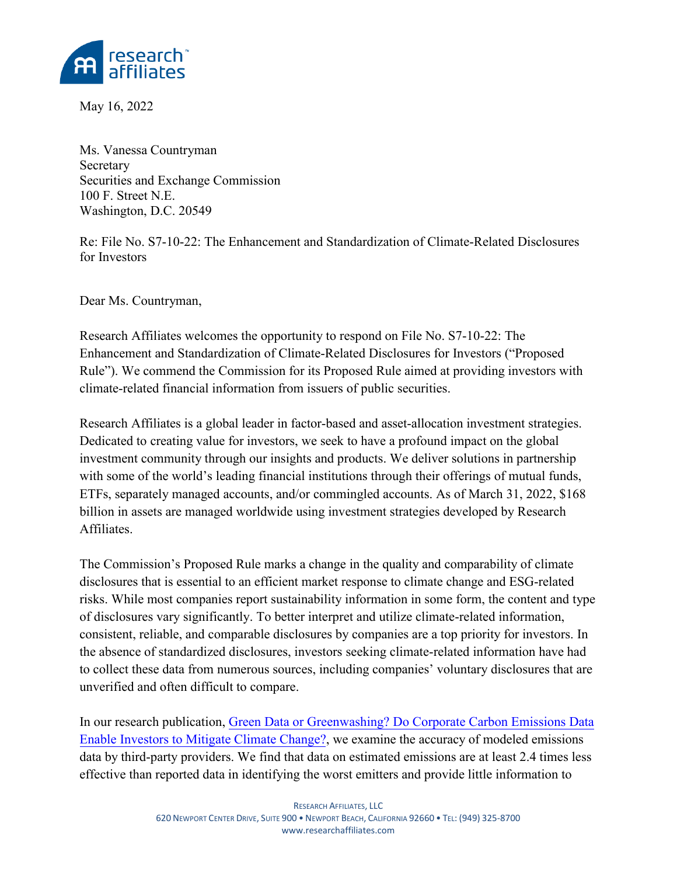

May 16, 2022

Ms. Vanessa Countryman Secretary Securities and Exchange Commission 100 F. Street N.E. Washington, D.C. 20549

Re: File No. S7-10-22: The Enhancement and Standardization of Climate-Related Disclosures for Investors

Dear Ms. Countryman,

Research Affiliates welcomes the opportunity to respond on File No. S7-10-22: The Enhancement and Standardization of Climate-Related Disclosures for Investors ("Proposed Rule"). We commend the Commission for its Proposed Rule aimed at providing investors with climate-related financial information from issuers of public securities.

Research Affiliates is a global leader in factor-based and asset-allocation investment strategies. Dedicated to creating value for investors, we seek to have a profound impact on the global investment community through our insights and products. We deliver solutions in partnership with some of the world's leading financial institutions through their offerings of mutual funds, ETFs, separately managed accounts, and/or commingled accounts. As of March 31, 2022, \$168 billion in assets are managed worldwide using investment strategies developed by Research Affiliates.

The Commission's Proposed Rule marks a change in the quality and comparability of climate disclosures that is essential to an efficient market response to climate change and ESG-related risks. While most companies report sustainability information in some form, the content and type of disclosures vary significantly. To better interpret and utilize climate-related information, consistent, reliable, and comparable disclosures by companies are a top priority for investors. In the absence of standardized disclosures, investors seeking climate-related information have had to collect these data from numerous sources, including companies' voluntary disclosures that are unverified and often difficult to compare.

In our research publication, [Green Data or Greenwashing? Do Corporate Carbon Emissions Data](https://papers.ssrn.com/sol3/papers.cfm?abstract_id=3722973) Enable Investors [to Mitigate](https://papers.ssrn.com/sol3/papers.cfm?abstract_id=3722973) Climate Change?, we examine the accuracy of modeled emissions data by third-party providers. We find that data on estimated emissions are at least 2.4 times less effective than reported data in identifying the worst emitters and provide little information to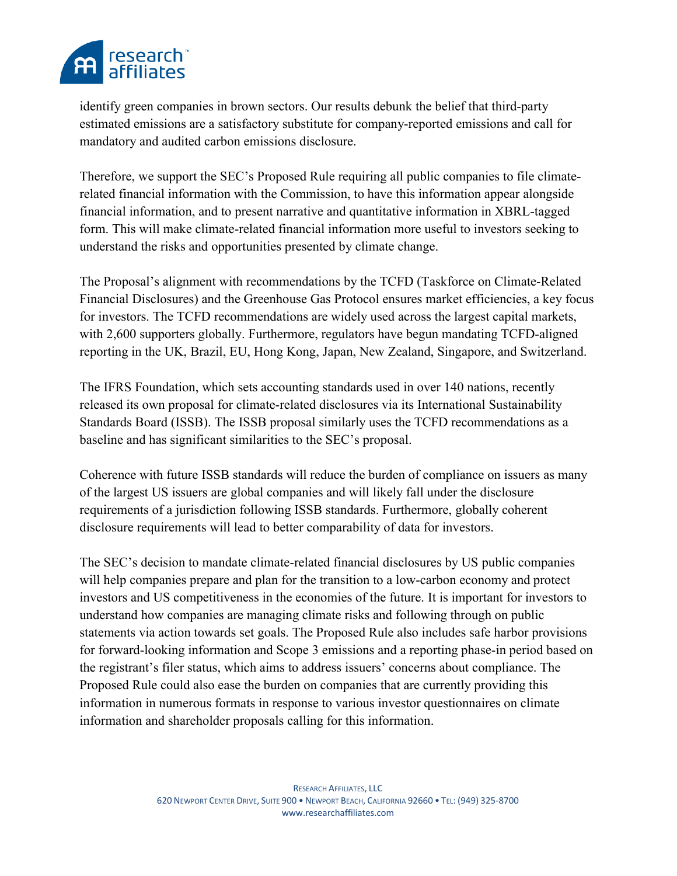

identify green companies in brown sectors. Our results debunk the belief that third-party estimated emissions are a satisfactory substitute for company-reported emissions and call for mandatory and audited carbon emissions disclosure.

Therefore, we support the SEC's Proposed Rule requiring all public companies to file climaterelated financial information with the Commission, to have this information appear alongside financial information, and to present narrative and quantitative information in XBRL-tagged form. This will make climate-related financial information more useful to investors seeking to understand the risks and opportunities presented by climate change.

The Proposal's alignment with recommendations by the TCFD (Taskforce on Climate-Related Financial Disclosures) and the Greenhouse Gas Protocol ensures market efficiencies, a key focus for investors. The TCFD recommendations are widely used across the largest capital markets, with 2,600 supporters globally. Furthermore, regulators have begun mandating TCFD-aligned reporting in the UK, Brazil, EU, Hong Kong, Japan, New Zealand, Singapore, and Switzerland.

The IFRS Foundation, which sets accounting standards used in over 140 nations, recently released its own proposal for climate-related disclosures via its International Sustainability Standards Board (ISSB). The ISSB proposal similarly uses the TCFD recommendations as a baseline and has significant similarities to the SEC's proposal.

Coherence with future ISSB standards will reduce the burden of compliance on issuers as many of the largest US issuers are global companies and will likely fall under the disclosure requirements of a jurisdiction following ISSB standards. Furthermore, globally coherent disclosure requirements will lead to better comparability of data for investors.

The SEC's decision to mandate climate-related financial disclosures by US public companies will help companies prepare and plan for the transition to a low-carbon economy and protect investors and US competitiveness in the economies of the future. It is important for investors to understand how companies are managing climate risks and following through on public statements via action towards set goals. The Proposed Rule also includes safe harbor provisions for forward-looking information and Scope 3 emissions and a reporting phase-in period based on the registrant's filer status, which aims to address issuers' concerns about compliance. The Proposed Rule could also ease the burden on companies that are currently providing this information in numerous formats in response to various investor questionnaires on climate information and shareholder proposals calling for this information.